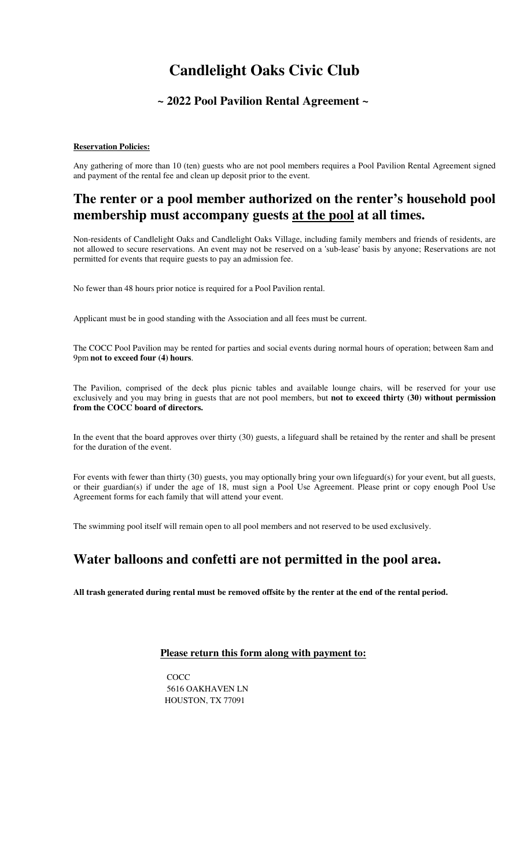# **Candlelight Oaks Civic Club**

## **~ 2022 Pool Pavilion Rental Agreement ~**

## **Reservation Policies:**

Any gathering of more than 10 (ten) guests who are not pool members requires a Pool Pavilion Rental Agreement signed and payment of the rental fee and clean up deposit prior to the event.

## **The renter or a pool member authorized on the renter's household pool membership must accompany guests at the pool at all times.**

Non-residents of Candlelight Oaks and Candlelight Oaks Village, including family members and friends of residents, are not allowed to secure reservations. An event may not be reserved on a 'sub-lease' basis by anyone; Reservations are not permitted for events that require guests to pay an admission fee.

No fewer than 48 hours prior notice is required for a Pool Pavilion rental.

Applicant must be in good standing with the Association and all fees must be current.

The COCC Pool Pavilion may be rented for parties and social events during normal hours of operation; between 8am and 9pm **not to exceed four (4) hours**.

The Pavilion, comprised of the deck plus picnic tables and available lounge chairs, will be reserved for your use exclusively and you may bring in guests that are not pool members, but **not to exceed thirty (30) without permission from the COCC board of directors.** 

In the event that the board approves over thirty (30) guests, a lifeguard shall be retained by the renter and shall be present for the duration of the event.

For events with fewer than thirty (30) guests, you may optionally bring your own lifeguard(s) for your event, but all guests, or their guardian(s) if under the age of 18, must sign a Pool Use Agreement. Please print or copy enough Pool Use Agreement forms for each family that will attend your event.

The swimming pool itself will remain open to all pool members and not reserved to be used exclusively.

## **Water balloons and confetti are not permitted in the pool area.**

**All trash generated during rental must be removed offsite by the renter at the end of the rental period.** 

## **Please return this form along with payment to:**

**COCC** 5616 OAKHAVEN LN HOUSTON, TX 77091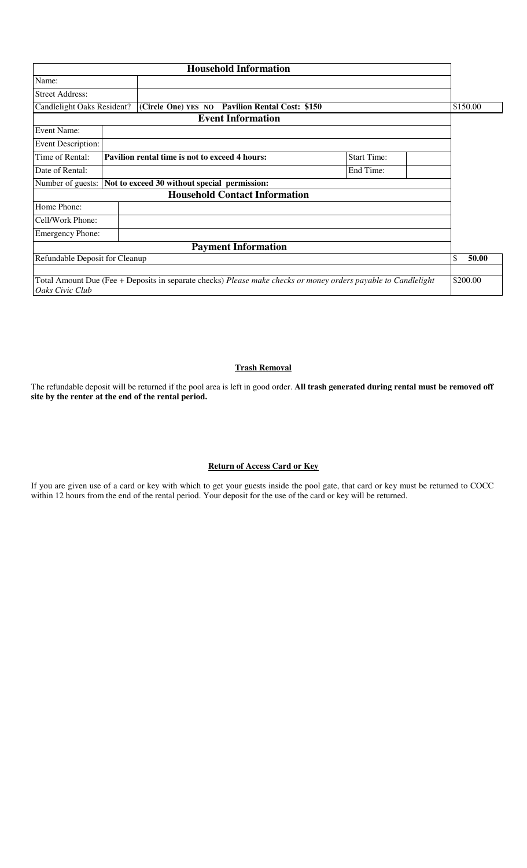|                                                                                                                                   |  | <b>Household Information</b>                                   |                    |             |
|-----------------------------------------------------------------------------------------------------------------------------------|--|----------------------------------------------------------------|--------------------|-------------|
| Name:                                                                                                                             |  |                                                                |                    |             |
| <b>Street Address:</b>                                                                                                            |  |                                                                |                    |             |
| Candlelight Oaks Resident?                                                                                                        |  | (Circle One) YES NO Pavilion Rental Cost: \$150                |                    | \$150.00    |
|                                                                                                                                   |  | <b>Event Information</b>                                       |                    |             |
| Event Name:                                                                                                                       |  |                                                                |                    |             |
| Event Description:                                                                                                                |  |                                                                |                    |             |
| Time of Rental:                                                                                                                   |  | Pavilion rental time is not to exceed 4 hours:                 | <b>Start Time:</b> |             |
| Date of Rental:                                                                                                                   |  |                                                                | End Time:          |             |
|                                                                                                                                   |  | Number of guests: Not to exceed 30 without special permission: |                    |             |
|                                                                                                                                   |  | <b>Household Contact Information</b>                           |                    |             |
| Home Phone:                                                                                                                       |  |                                                                |                    |             |
| Cell/Work Phone:                                                                                                                  |  |                                                                |                    |             |
| <b>Emergency Phone:</b>                                                                                                           |  |                                                                |                    |             |
|                                                                                                                                   |  | <b>Payment Information</b>                                     |                    |             |
| Refundable Deposit for Cleanup                                                                                                    |  |                                                                |                    | \$<br>50.00 |
|                                                                                                                                   |  |                                                                |                    |             |
| Total Amount Due (Fee + Deposits in separate checks) Please make checks or money orders payable to Candlelight<br>Oaks Civic Club |  |                                                                |                    | \$200.00    |

## **Trash Removal**

The refundable deposit will be returned if the pool area is left in good order. **All trash generated during rental must be removed off site by the renter at the end of the rental period.**

## **Return of Access Card or Key**

If you are given use of a card or key with which to get your guests inside the pool gate, that card or key must be returned to COCC within 12 hours from the end of the rental period. Your deposit for the use of the card or key will be returned.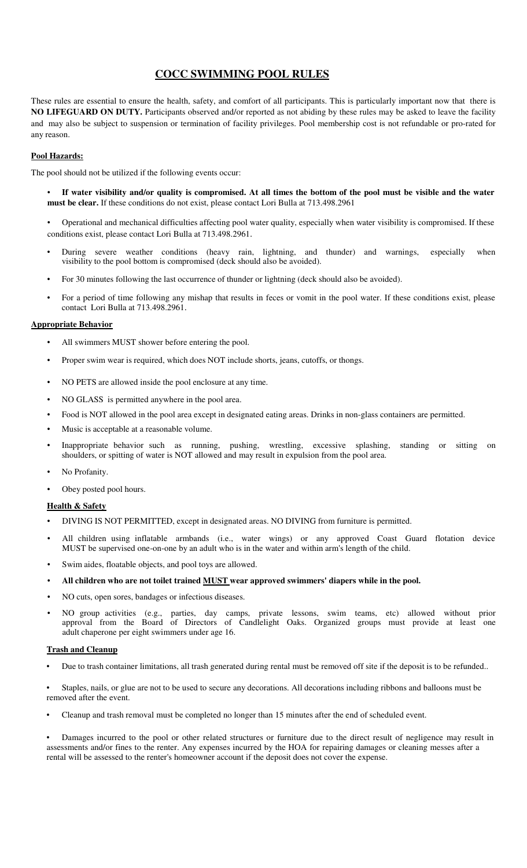## **COCC SWIMMING POOL RULES**

These rules are essential to ensure the health, safety, and comfort of all participants. This is particularly important now that there is **NO LIFEGUARD ON DUTY.** Participants observed and/or reported as not abiding by these rules may be asked to leave the facility and may also be subject to suspension or termination of facility privileges. Pool membership cost is not refundable or pro-rated for any reason.

## **Pool Hazards:**

The pool should not be utilized if the following events occur:

- **If water visibility and/or quality is compromised. At all times the bottom of the pool must be visible and the water must be clear.** If these conditions do not exist, please contact Lori Bulla at 713.498.2961
- Operational and mechanical difficulties affecting pool water quality, especially when water visibility is compromised. If these conditions exist, please contact Lori Bulla at 713.498.2961.
- During severe weather conditions (heavy rain, lightning, and thunder) and warnings, especially when visibility to the pool bottom is compromised (deck should also be avoided).
- For 30 minutes following the last occurrence of thunder or lightning (deck should also be avoided).
- For a period of time following any mishap that results in feces or vomit in the pool water. If these conditions exist, please contact Lori Bulla at 713.498.2961.

### **Appropriate Behavior**

- All swimmers MUST shower before entering the pool.
- Proper swim wear is required, which does NOT include shorts, jeans, cutoffs, or thongs.
- NO PETS are allowed inside the pool enclosure at any time.
- NO GLASS is permitted anywhere in the pool area.
- Food is NOT allowed in the pool area except in designated eating areas. Drinks in non-glass containers are permitted.
- Music is acceptable at a reasonable volume.
- Inappropriate behavior such as running, pushing, wrestling, excessive splashing, standing or sitting on shoulders, or spitting of water is NOT allowed and may result in expulsion from the pool area.
- No Profanity.
- Obey posted pool hours.

#### **Health & Safety**

- DIVING IS NOT PERMITTED, except in designated areas. NO DIVING from furniture is permitted.
- All children using inflatable armbands (i.e., water wings) or any approved Coast Guard flotation device MUST be supervised one-on-one by an adult who is in the water and within arm's length of the child.
- Swim aides, floatable objects, and pool toys are allowed.
- **All children who are not toilet trained MUST wear approved swimmers' diapers while in the pool.**
- NO cuts, open sores, bandages or infectious diseases.
- NO group activities (e.g., parties, day camps, private lessons, swim teams, etc) allowed without prior approval from the Board of Directors of Candlelight Oaks. Organized groups must provide at least one adult chaperone per eight swimmers under age 16.

### **Trash and Cleanup**

• Due to trash container limitations, all trash generated during rental must be removed off site if the deposit is to be refunded..

• Staples, nails, or glue are not to be used to secure any decorations. All decorations including ribbons and balloons must be removed after the event.

• Cleanup and trash removal must be completed no longer than 15 minutes after the end of scheduled event.

• Damages incurred to the pool or other related structures or furniture due to the direct result of negligence may result in assessments and/or fines to the renter. Any expenses incurred by the HOA for repairing damages or cleaning messes after a rental will be assessed to the renter's homeowner account if the deposit does not cover the expense.